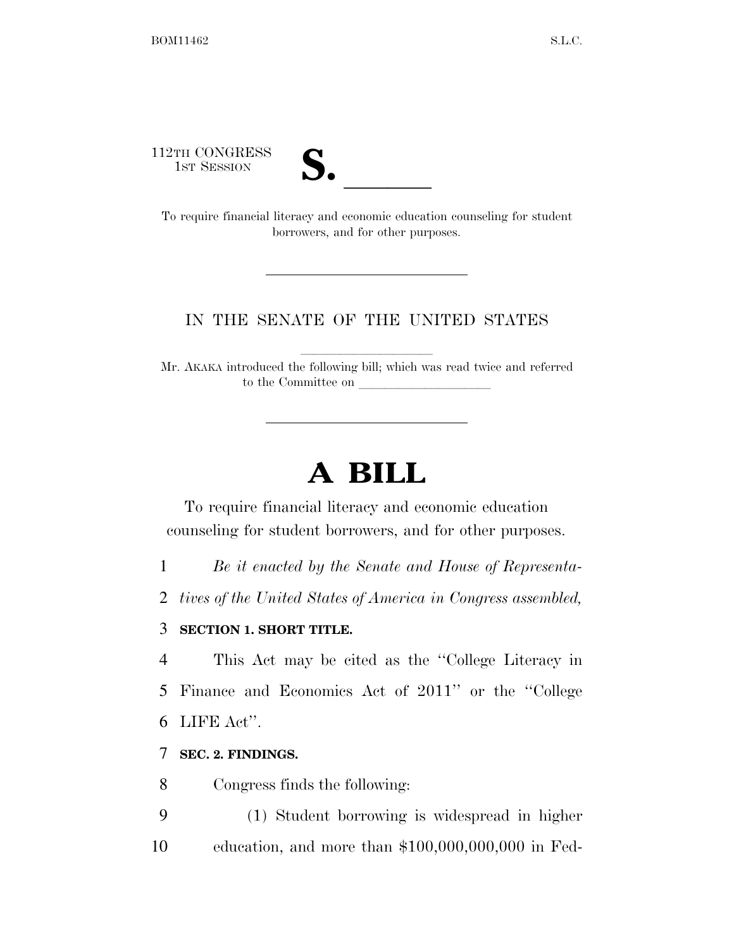112TH CONGRESS



12TH CONGRESS<br>1st Session<br>To require financial literacy and economic education counseling for student borrowers, and for other purposes.

### IN THE SENATE OF THE UNITED STATES

Mr. AKAKA introduced the following bill; which was read twice and referred to the Committee on

# **A BILL**

To require financial literacy and economic education counseling for student borrowers, and for other purposes.

1 *Be it enacted by the Senate and House of Representa-*

2 *tives of the United States of America in Congress assembled,* 

### 3 **SECTION 1. SHORT TITLE.**

4 This Act may be cited as the ''College Literacy in 5 Finance and Economics Act of 2011'' or the ''College 6 LIFE Act''.

## 7 **SEC. 2. FINDINGS.**

8 Congress finds the following:

9 (1) Student borrowing is widespread in higher 10 education, and more than \$100,000,000,000 in Fed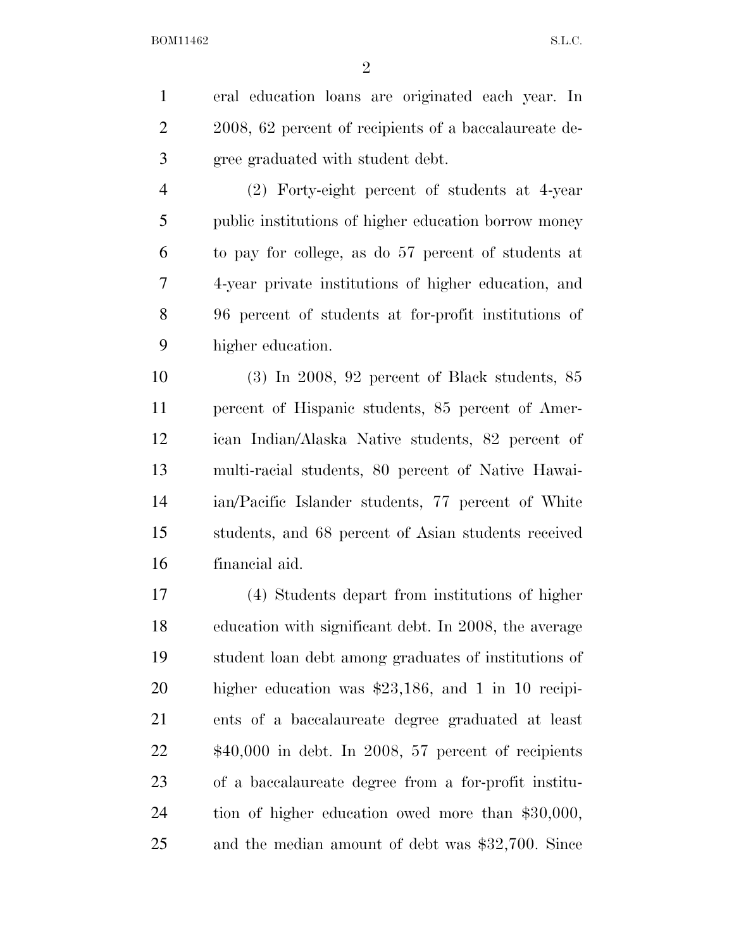eral education loans are originated each year. In 2008, 62 percent of recipients of a baccalaureate de-gree graduated with student debt.

 (2) Forty-eight percent of students at 4-year public institutions of higher education borrow money to pay for college, as do 57 percent of students at 4-year private institutions of higher education, and 96 percent of students at for-profit institutions of higher education.

 (3) In 2008, 92 percent of Black students, 85 percent of Hispanic students, 85 percent of Amer- ican Indian/Alaska Native students, 82 percent of multi-racial students, 80 percent of Native Hawai- ian/Pacific Islander students, 77 percent of White students, and 68 percent of Asian students received financial aid.

 (4) Students depart from institutions of higher education with significant debt. In 2008, the average student loan debt among graduates of institutions of higher education was \$23,186, and 1 in 10 recipi- ents of a baccalaureate degree graduated at least \$40,000 in debt. In 2008, 57 percent of recipients of a baccalaureate degree from a for-profit institu- tion of higher education owed more than \$30,000, and the median amount of debt was \$32,700. Since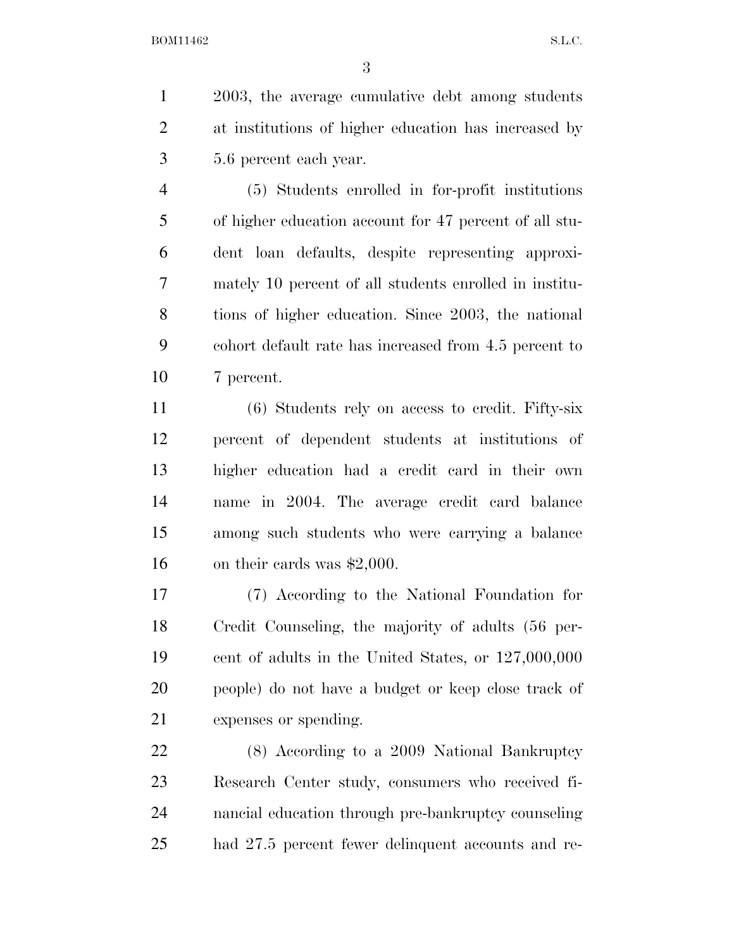2003, the average cumulative debt among students at institutions of higher education has increased by 5.6 percent each year.

 (5) Students enrolled in for-profit institutions of higher education account for 47 percent of all stu- dent loan defaults, despite representing approxi- mately 10 percent of all students enrolled in institu- tions of higher education. Since 2003, the national cohort default rate has increased from 4.5 percent to 7 percent.

 (6) Students rely on access to credit. Fifty-six percent of dependent students at institutions of higher education had a credit card in their own name in 2004. The average credit card balance among such students who were carrying a balance on their cards was \$2,000.

 (7) According to the National Foundation for Credit Counseling, the majority of adults (56 per- cent of adults in the United States, or 127,000,000 people) do not have a budget or keep close track of expenses or spending.

 (8) According to a 2009 National Bankruptcy Research Center study, consumers who received fi- nancial education through pre-bankruptcy counseling had 27.5 percent fewer delinquent accounts and re-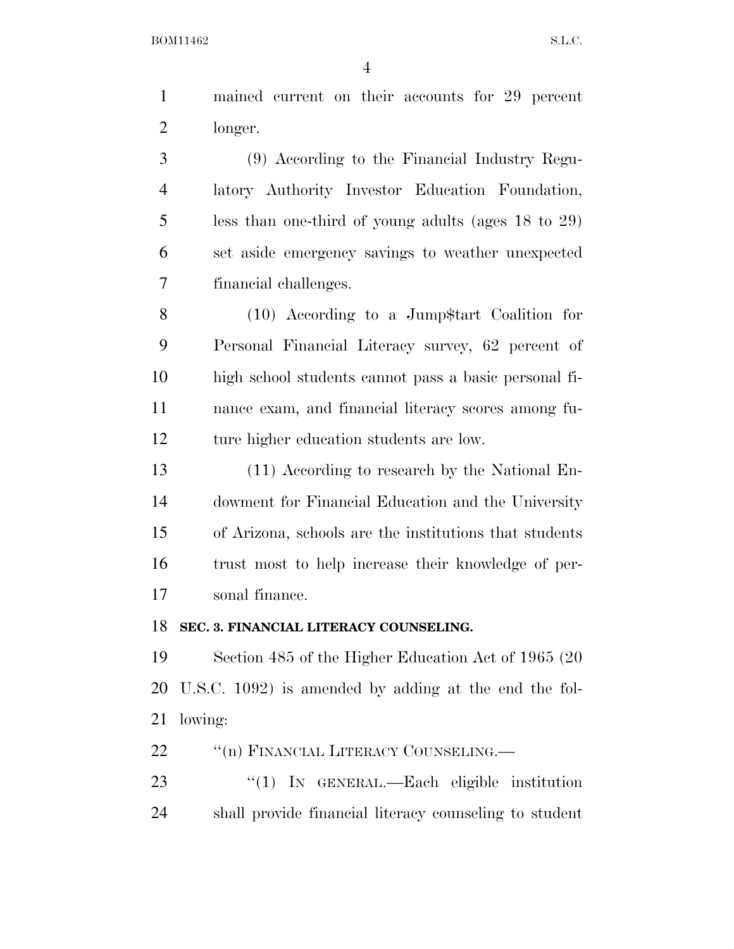mained current on their accounts for 29 percent longer.

 (9) According to the Financial Industry Regu- latory Authority Investor Education Foundation, less than one-third of young adults (ages 18 to 29) set aside emergency savings to weather unexpected financial challenges.

 (10) According to a Jump\$tart Coalition for Personal Financial Literacy survey, 62 percent of high school students cannot pass a basic personal fi- nance exam, and financial literacy scores among fu-ture higher education students are low.

 (11) According to research by the National En- dowment for Financial Education and the University of Arizona, schools are the institutions that students trust most to help increase their knowledge of per-sonal finance.

#### **SEC. 3. FINANCIAL LITERACY COUNSELING.**

 Section 485 of the Higher Education Act of 1965 (20 U.S.C. 1092) is amended by adding at the end the fol-lowing:

22 "(n) FINANCIAL LITERACY COUNSELING.—

23 "(1) IN GENERAL.—Each eligible institution shall provide financial literacy counseling to student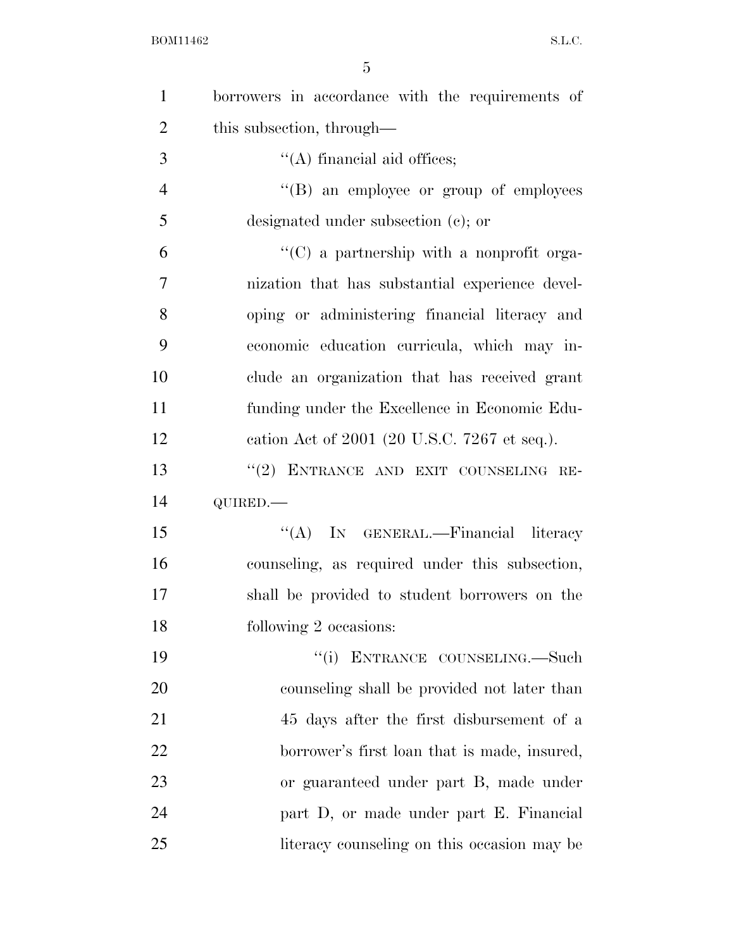| $\mathbf{1}$   | borrowers in accordance with the requirements of  |
|----------------|---------------------------------------------------|
| $\overline{2}$ | this subsection, through—                         |
| 3              | $\lq\lq$ financial aid offices;                   |
| $\overline{4}$ | "(B) an employee or group of employees            |
| 5              | designated under subsection (c); or               |
| 6              | $\lq\lq$ (C) a partnership with a nonprofit orga- |
| $\overline{7}$ | nization that has substantial experience devel-   |
| 8              | oping or administering financial literacy and     |
| 9              | economic education curricula, which may in-       |
| 10             | clude an organization that has received grant     |
| 11             | funding under the Excellence in Economic Edu-     |
| 12             | cation Act of 2001 (20 U.S.C. 7267 et seq.).      |
| 13             | "(2) ENTRANCE AND EXIT COUNSELING RE-             |
| 14             | QUIRED.-                                          |
| 15             | "(A) IN GENERAL.—Financial literacy               |
| 16             | counseling, as required under this subsection,    |
| 17             | shall be provided to student borrowers on the     |
| 18             | following 2 occasions:                            |
| 19             | ``(i)<br>ENTRANCE COUNSELING. Such                |
| 20             | counseling shall be provided not later than       |
| 21             | 45 days after the first disbursement of a         |
| 22             | borrower's first loan that is made, insured,      |
| 23             | or guaranteed under part B, made under            |
| 24             | part D, or made under part E. Financial           |
| 25             | literacy counseling on this occasion may be       |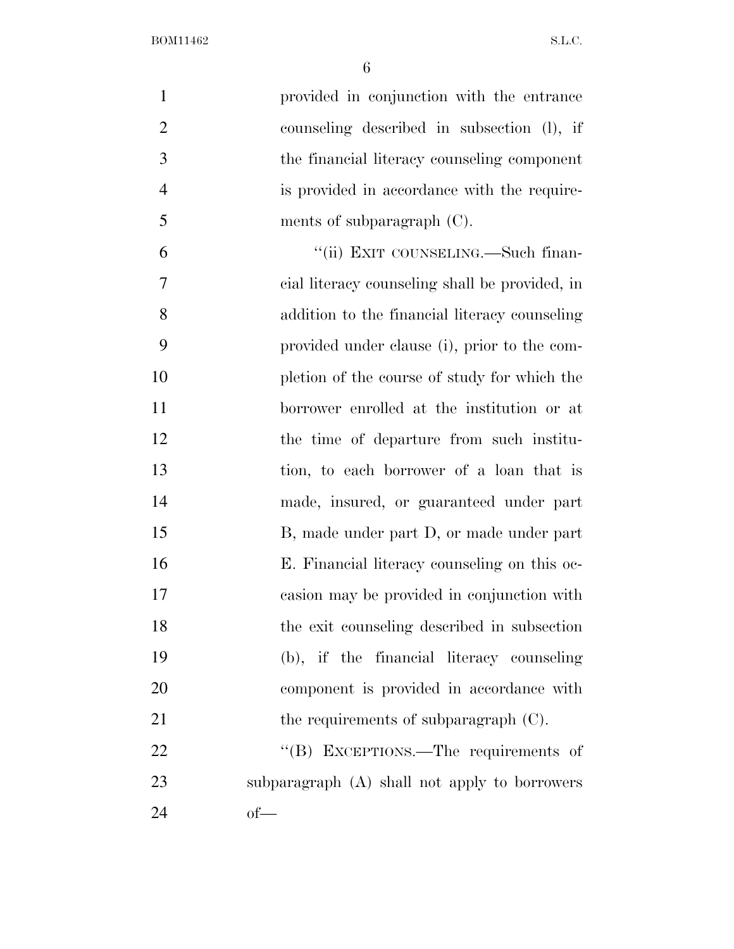| $\mathbf{1}$   | provided in conjunction with the entrance      |
|----------------|------------------------------------------------|
| $\overline{2}$ | counseling described in subsection (1), if     |
| 3              | the financial literacy counseling component    |
| $\overline{4}$ | is provided in accordance with the require-    |
| 5              | ments of subparagraph $(C)$ .                  |
| 6              | "(ii) EXIT COUNSELING.—Such finan-             |
| $\overline{7}$ | cial literacy counseling shall be provided, in |
| 8              | addition to the financial literacy counseling  |
| 9              | provided under clause (i), prior to the com-   |
| 10             | pletion of the course of study for which the   |
| 11             | borrower enrolled at the institution or at     |
| 12             | the time of departure from such institu-       |
| 13             | tion, to each borrower of a loan that is       |
| 14             | made, insured, or guaranteed under part        |
| 15             | B, made under part D, or made under part       |
| 16             | E. Financial literacy counseling on this oc-   |
| 17             | casion may be provided in conjunction with     |
| 18             | the exit counseling described in subsection    |
| 19             | (b), if the financial literacy counseling      |
| 20             | component is provided in accordance with       |
| 21             | the requirements of subparagraph $(C)$ .       |
| 22             | "(B) EXCEPTIONS.—The requirements of           |
| 23             | subparagraph (A) shall not apply to borrowers  |
| 24             | $of$ —                                         |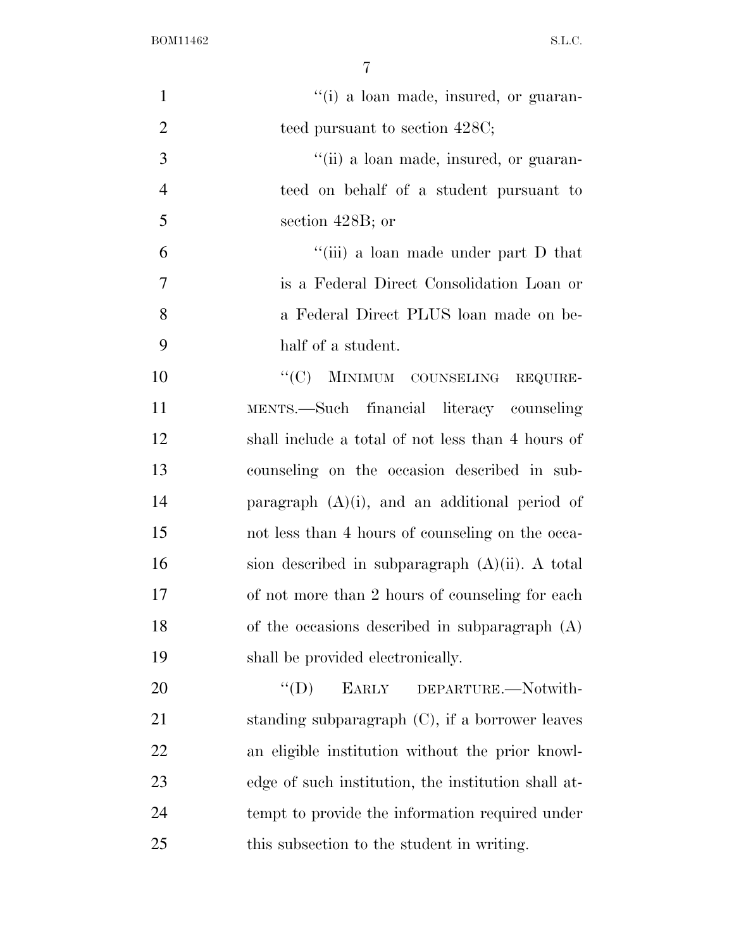| $\mathbf{1}$   | "(i) a loan made, insured, or guaran-               |
|----------------|-----------------------------------------------------|
| $\overline{2}$ | teed pursuant to section 428C;                      |
| 3              | "(ii) a loan made, insured, or guaran-              |
| $\overline{4}$ | teed on behalf of a student pursuant to             |
| 5              | section 428B; or                                    |
| 6              | "(iii) a loan made under part D that                |
| $\overline{7}$ | is a Federal Direct Consolidation Loan or           |
| 8              | a Federal Direct PLUS loan made on be-              |
| 9              | half of a student.                                  |
| 10             | "(C) MINIMUM COUNSELING REQUIRE-                    |
| 11             | MENTS.—Such financial literacy counseling           |
| 12             | shall include a total of not less than 4 hours of   |
| 13             | counseling on the occasion described in sub-        |
| 14             | paragraph $(A)(i)$ , and an additional period of    |
| 15             | not less than 4 hours of counseling on the occa-    |
| 16             | sion described in subparagraph $(A)(ii)$ . A total  |
| 17             | of not more than 2 hours of counseling for each     |
| 18             | of the occasions described in subparagraph (A)      |
| 19             | shall be provided electronically.                   |
| 20             | $\lq\lq (D)$<br>EARLY DEPARTURE.-Notwith-           |
| 21             | standing subparagraph $(C)$ , if a borrower leaves  |
| 22             | an eligible institution without the prior knowl-    |
| 23             | edge of such institution, the institution shall at- |
| 24             | tempt to provide the information required under     |
| 25             | this subsection to the student in writing.          |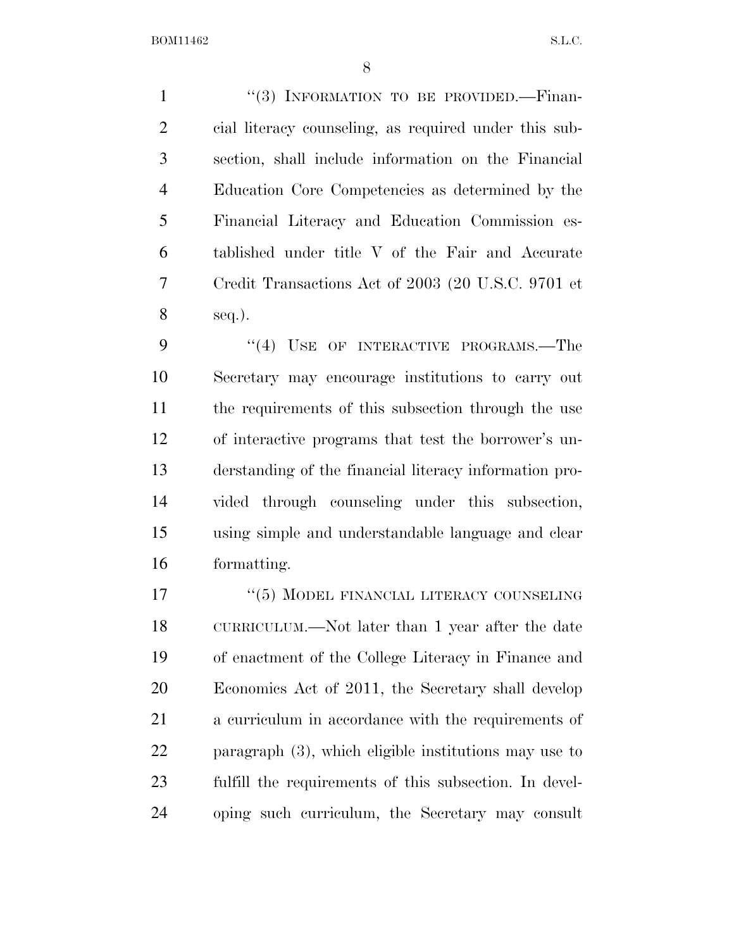1 "(3) INFORMATION TO BE PROVIDED. Finan- cial literacy counseling, as required under this sub- section, shall include information on the Financial Education Core Competencies as determined by the Financial Literacy and Education Commission es- tablished under title V of the Fair and Accurate Credit Transactions Act of 2003 (20 U.S.C. 9701 et seq.).

9 "(4) USE OF INTERACTIVE PROGRAMS.—The Secretary may encourage institutions to carry out the requirements of this subsection through the use of interactive programs that test the borrower's un- derstanding of the financial literacy information pro- vided through counseling under this subsection, using simple and understandable language and clear formatting.

17 <sup>''</sup>(5) MODEL FINANCIAL LITERACY COUNSELING CURRICULUM.—Not later than 1 year after the date of enactment of the College Literacy in Finance and Economics Act of 2011, the Secretary shall develop a curriculum in accordance with the requirements of paragraph (3), which eligible institutions may use to fulfill the requirements of this subsection. In devel-oping such curriculum, the Secretary may consult